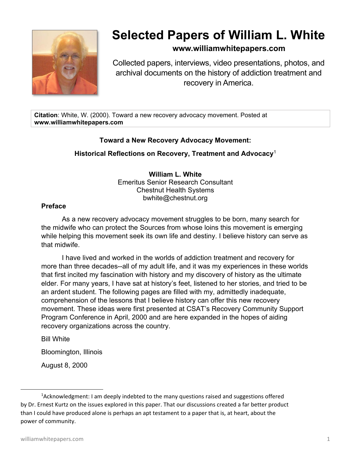

# **Selected Papers of William L. White**

# **www.williamwhitepapers.com**

Collected papers, interviews, video presentations, photos, and archival documents on the history of addiction treatment and recovery in America.

**Citation**: White, W. (2000). Toward a new recovery advocacy movement. Posted at **www.williamwhitepapers.com** 

## **Toward a New Recovery Advocacy Movement:**

## **Historical Reflections on Recovery, Treatment and Advocacy**<sup>1</sup>

**William L. White**  Emeritus Senior Research Consultant Chestnut Health Systems bwhite@chestnut.org

#### **Preface**

As a new recovery advocacy movement struggles to be born, many search for the midwife who can protect the Sources from whose loins this movement is emerging while helping this movement seek its own life and destiny. I believe history can serve as that midwife.

I have lived and worked in the worlds of addiction treatment and recovery for more than three decades--all of my adult life, and it was my experiences in these worlds that first incited my fascination with history and my discovery of history as the ultimate elder. For many years, I have sat at history's feet, listened to her stories, and tried to be an ardent student. The following pages are filled with my, admittedly inadequate, comprehension of the lessons that I believe history can offer this new recovery movement. These ideas were first presented at CSAT's Recovery Community Support Program Conference in April, 2000 and are here expanded in the hopes of aiding recovery organizations across the country.

Bill White

Bloomington, Illinois

August 8, 2000

<sup>&</sup>lt;sup>1</sup>Acknowledgment: I am deeply indebted to the many questions raised and suggestions offered by Dr. Ernest Kurtz on the issues explored in this paper. That our discussions created a far better product than I could have produced alone is perhaps an apt testament to a paper that is, at heart, about the power of community.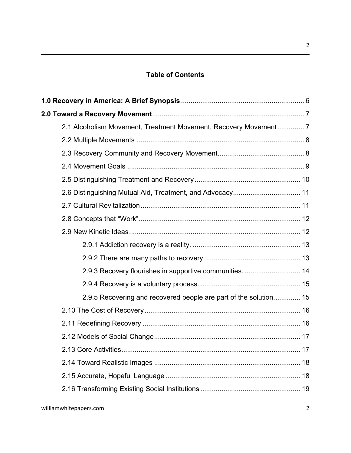# **Table of Contents**

|  | 2.1 Alcoholism Movement, Treatment Movement, Recovery Movement 7  |  |  |
|--|-------------------------------------------------------------------|--|--|
|  |                                                                   |  |  |
|  |                                                                   |  |  |
|  |                                                                   |  |  |
|  |                                                                   |  |  |
|  |                                                                   |  |  |
|  |                                                                   |  |  |
|  |                                                                   |  |  |
|  |                                                                   |  |  |
|  |                                                                   |  |  |
|  |                                                                   |  |  |
|  | 2.9.3 Recovery flourishes in supportive communities.  14          |  |  |
|  |                                                                   |  |  |
|  | 2.9.5 Recovering and recovered people are part of the solution 15 |  |  |
|  |                                                                   |  |  |
|  |                                                                   |  |  |
|  |                                                                   |  |  |
|  |                                                                   |  |  |
|  |                                                                   |  |  |
|  |                                                                   |  |  |
|  |                                                                   |  |  |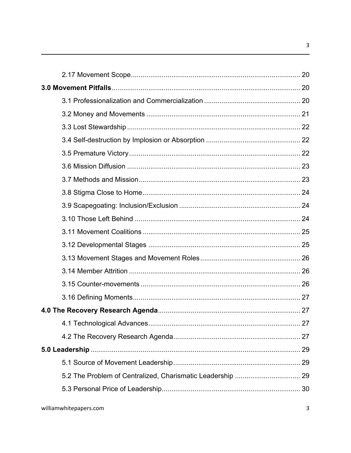$\overline{3}$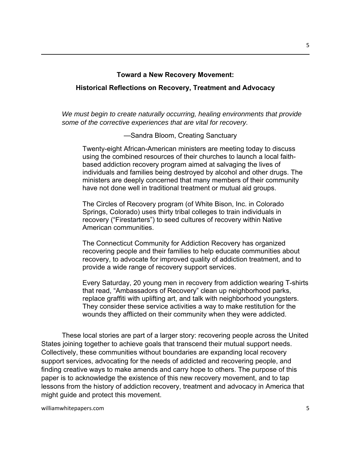#### **Toward a New Recovery Movement:**

#### **Historical Reflections on Recovery, Treatment and Advocacy**

*We must begin to create naturally occurring, healing environments that provide some of the corrective experiences that are vital for recovery.* 

—Sandra Bloom, Creating Sanctuary

Twenty-eight African-American ministers are meeting today to discuss using the combined resources of their churches to launch a local faithbased addiction recovery program aimed at salvaging the lives of individuals and families being destroyed by alcohol and other drugs. The ministers are deeply concerned that many members of their community have not done well in traditional treatment or mutual aid groups.

The Circles of Recovery program (of White Bison, Inc. in Colorado Springs, Colorado) uses thirty tribal colleges to train individuals in recovery ("Firestarters") to seed cultures of recovery within Native American communities.

The Connecticut Community for Addiction Recovery has organized recovering people and their families to help educate communities about recovery, to advocate for improved quality of addiction treatment, and to provide a wide range of recovery support services.

Every Saturday, 20 young men in recovery from addiction wearing T-shirts that read, "Ambassadors of Recovery" clean up neighborhood parks, replace graffiti with uplifting art, and talk with neighborhood youngsters. They consider these service activities a way to make restitution for the wounds they afflicted on their community when they were addicted.

These local stories are part of a larger story: recovering people across the United States joining together to achieve goals that transcend their mutual support needs. Collectively, these communities without boundaries are expanding local recovery support services, advocating for the needs of addicted and recovering people, and finding creative ways to make amends and carry hope to others. The purpose of this paper is to acknowledge the existence of this new recovery movement, and to tap lessons from the history of addiction recovery, treatment and advocacy in America that might guide and protect this movement.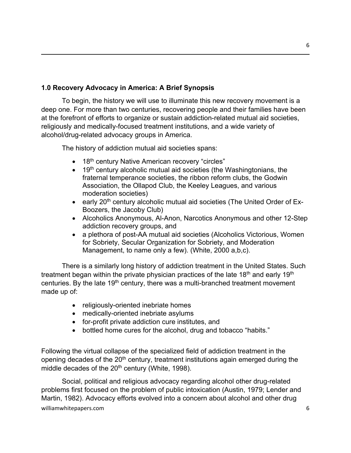# **1.0 Recovery Advocacy in America: A Brief Synopsis**

To begin, the history we will use to illuminate this new recovery movement is a deep one. For more than two centuries, recovering people and their families have been at the forefront of efforts to organize or sustain addiction-related mutual aid societies, religiously and medically-focused treatment institutions, and a wide variety of alcohol/drug-related advocacy groups in America.

The history of addiction mutual aid societies spans:

- 18<sup>th</sup> century Native American recovery "circles"
- 19<sup>th</sup> century alcoholic mutual aid societies (the Washingtonians, the fraternal temperance societies, the ribbon reform clubs, the Godwin Association, the Ollapod Club, the Keeley Leagues, and various moderation societies)
- early 20<sup>th</sup> century alcoholic mutual aid societies (The United Order of Ex-Boozers, the Jacoby Club)
- Alcoholics Anonymous, Al-Anon, Narcotics Anonymous and other 12-Step addiction recovery groups, and
- a plethora of post-AA mutual aid societies (Alcoholics Victorious, Women for Sobriety, Secular Organization for Sobriety, and Moderation Management, to name only a few). (White, 2000 a,b,c).

There is a similarly long history of addiction treatment in the United States. Such treatment began within the private physician practices of the late  $18<sup>th</sup>$  and early  $19<sup>th</sup>$ centuries. By the late  $19<sup>th</sup>$  century, there was a multi-branched treatment movement made up of:

- religiously-oriented inebriate homes
- medically-oriented inebriate asylums
- for-profit private addiction cure institutes, and
- bottled home cures for the alcohol, drug and tobacco "habits."

Following the virtual collapse of the specialized field of addiction treatment in the opening decades of the  $20<sup>th</sup>$  century, treatment institutions again emerged during the middle decades of the  $20<sup>th</sup>$  century (White, 1998).

williamwhitepapers.com 6 Social, political and religious advocacy regarding alcohol other drug-related problems first focused on the problem of public intoxication (Austin, 1979; Lender and Martin, 1982). Advocacy efforts evolved into a concern about alcohol and other drug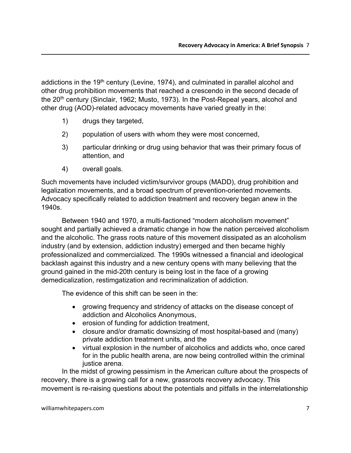addictions in the 19<sup>th</sup> century (Levine, 1974), and culminated in parallel alcohol and other drug prohibition movements that reached a crescendo in the second decade of the 20<sup>th</sup> century (Sinclair, 1962; Musto, 1973). In the Post-Repeal years, alcohol and other drug (AOD)-related advocacy movements have varied greatly in the:

- 1) drugs they targeted,
- 2) population of users with whom they were most concerned,
- 3) particular drinking or drug using behavior that was their primary focus of attention, and
- 4) overall goals.

Such movements have included victim/survivor groups (MADD), drug prohibition and legalization movements, and a broad spectrum of prevention-oriented movements. Advocacy specifically related to addiction treatment and recovery began anew in the 1940s.

Between 1940 and 1970, a multi-factioned "modern alcoholism movement" sought and partially achieved a dramatic change in how the nation perceived alcoholism and the alcoholic. The grass roots nature of this movement dissipated as an alcoholism industry (and by extension, addiction industry) emerged and then became highly professionalized and commercialized. The 1990s witnessed a financial and ideological backlash against this industry and a new century opens with many believing that the ground gained in the mid-20th century is being lost in the face of a growing demedicalization, restimgatization and recriminalization of addiction.

The evidence of this shift can be seen in the:

- growing frequency and stridency of attacks on the disease concept of addiction and Alcoholics Anonymous,
- erosion of funding for addiction treatment,
- closure and/or dramatic downsizing of most hospital-based and (many) private addiction treatment units, and the
- virtual explosion in the number of alcoholics and addicts who, once cared for in the public health arena, are now being controlled within the criminal justice arena.

In the midst of growing pessimism in the American culture about the prospects of recovery, there is a growing call for a new, grassroots recovery advocacy. This movement is re-raising questions about the potentials and pitfalls in the interrelationship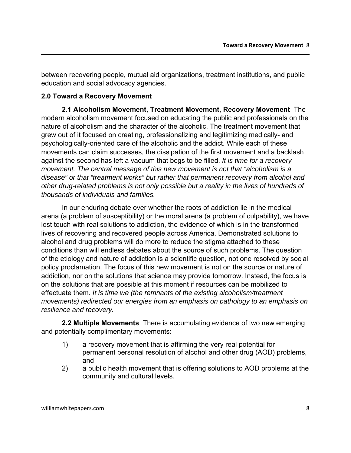between recovering people, mutual aid organizations, treatment institutions, and public education and social advocacy agencies.

#### **2.0 Toward a Recovery Movement**

**2.1 Alcoholism Movement, Treatment Movement, Recovery Movement** The modern alcoholism movement focused on educating the public and professionals on the nature of alcoholism and the character of the alcoholic. The treatment movement that grew out of it focused on creating, professionalizing and legitimizing medically- and psychologically-oriented care of the alcoholic and the addict. While each of these movements can claim successes, the dissipation of the first movement and a backlash against the second has left a vacuum that begs to be filled. *It is time for a recovery movement. The central message of this new movement is not that "alcoholism is a disease" or that "treatment works" but rather that permanent recovery from alcohol and other drug-related problems is not only possible but a reality in the lives of hundreds of thousands of individuals and families.* 

In our enduring debate over whether the roots of addiction lie in the medical arena (a problem of susceptibility) or the moral arena (a problem of culpability), we have lost touch with real solutions to addiction, the evidence of which is in the transformed lives of recovering and recovered people across America. Demonstrated solutions to alcohol and drug problems will do more to reduce the stigma attached to these conditions than will endless debates about the source of such problems. The question of the etiology and nature of addiction is a scientific question, not one resolved by social policy proclamation. The focus of this new movement is not on the source or nature of addiction, nor on the solutions that science may provide tomorrow. Instead, the focus is on the solutions that are possible at this moment if resources can be mobilized to effectuate them. *It is time we (the remnants of the existing alcoholism/treatment movements) redirected our energies from an emphasis on pathology to an emphasis on resilience and recovery.* 

**2.2 Multiple Movements** There is accumulating evidence of two new emerging and potentially complimentary movements:

- 1) a recovery movement that is affirming the very real potential for permanent personal resolution of alcohol and other drug (AOD) problems, and
- 2) a public health movement that is offering solutions to AOD problems at the community and cultural levels.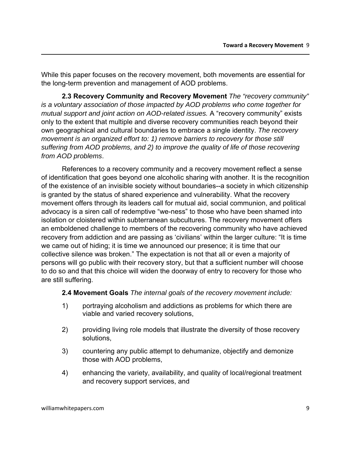While this paper focuses on the recovery movement, both movements are essential for the long-term prevention and management of AOD problems.

**2.3 Recovery Community and Recovery Movement** *The "recovery community" is a voluntary association of those impacted by AOD problems who come together for mutual support and joint action on AOD-related issues.* A "recovery community" exists only to the extent that multiple and diverse recovery communities reach beyond their own geographical and cultural boundaries to embrace a single identity. *The recovery movement is an organized effort to: 1) remove barriers to recovery for those still suffering from AOD problems, and 2) to improve the quality of life of those recovering from AOD problems*.

References to a recovery community and a recovery movement reflect a sense of identification that goes beyond one alcoholic sharing with another. It is the recognition of the existence of an invisible society without boundaries--a society in which citizenship is granted by the status of shared experience and vulnerability. What the recovery movement offers through its leaders call for mutual aid, social communion, and political advocacy is a siren call of redemptive "we-ness" to those who have been shamed into isolation or cloistered within subterranean subcultures. The recovery movement offers an emboldened challenge to members of the recovering community who have achieved recovery from addiction and are passing as 'civilians' within the larger culture: "It is time we came out of hiding; it is time we announced our presence; it is time that our collective silence was broken." The expectation is not that all or even a majority of persons will go public with their recovery story, but that a sufficient number will choose to do so and that this choice will widen the doorway of entry to recovery for those who are still suffering.

#### **2.4 Movement Goals** *The internal goals of the recovery movement include:*

- 1) portraying alcoholism and addictions as problems for which there are viable and varied recovery solutions,
- 2) providing living role models that illustrate the diversity of those recovery solutions,
- 3) countering any public attempt to dehumanize, objectify and demonize those with AOD problems,
- 4) enhancing the variety, availability, and quality of local/regional treatment and recovery support services, and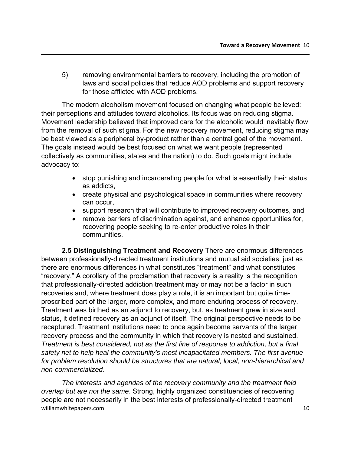5) removing environmental barriers to recovery, including the promotion of laws and social policies that reduce AOD problems and support recovery for those afflicted with AOD problems.

The modern alcoholism movement focused on changing what people believed: their perceptions and attitudes toward alcoholics. Its focus was on reducing stigma. Movement leadership believed that improved care for the alcoholic would inevitably flow from the removal of such stigma. For the new recovery movement, reducing stigma may be best viewed as a peripheral by-product rather than a central goal of the movement. The goals instead would be best focused on what we want people (represented collectively as communities, states and the nation) to do. Such goals might include advocacy to:

- stop punishing and incarcerating people for what is essentially their status as addicts,
- create physical and psychological space in communities where recovery can occur,
- support research that will contribute to improved recovery outcomes, and
- remove barriers of discrimination against, and enhance opportunities for, recovering people seeking to re-enter productive roles in their communities.

**2.5 Distinguishing Treatment and Recovery** There are enormous differences between professionally-directed treatment institutions and mutual aid societies, just as there are enormous differences in what constitutes "treatment" and what constitutes "recovery." A corollary of the proclamation that recovery is a reality is the recognition that professionally-directed addiction treatment may or may not be a factor in such recoveries and, where treatment does play a role, it is an important but quite timeproscribed part of the larger, more complex, and more enduring process of recovery. Treatment was birthed as an adjunct to recovery, but, as treatment grew in size and status, it defined recovery as an adjunct of itself. The original perspective needs to be recaptured. Treatment institutions need to once again become servants of the larger recovery process and the community in which that recovery is nested and sustained. *Treatment is best considered, not as the first line of response to addiction, but a final safety net to help heal the community's most incapacitated members. The first avenue for problem resolution should be structures that are natural, local, non-hierarchical and non-commercialized*.

williamwhitepapers.com 3.10 *The interests and agendas of the recovery community and the treatment field overlap but are not the same*. Strong, highly organized constituencies of recovering people are not necessarily in the best interests of professionally-directed treatment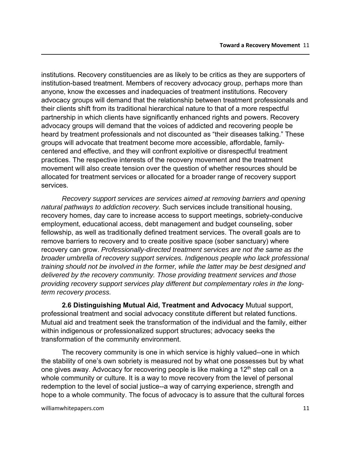institutions. Recovery constituencies are as likely to be critics as they are supporters of institution-based treatment. Members of recovery advocacy group, perhaps more than anyone, know the excesses and inadequacies of treatment institutions. Recovery advocacy groups will demand that the relationship between treatment professionals and their clients shift from its traditional hierarchical nature to that of a more respectful partnership in which clients have significantly enhanced rights and powers. Recovery advocacy groups will demand that the voices of addicted and recovering people be heard by treatment professionals and not discounted as "their diseases talking." These groups will advocate that treatment become more accessible, affordable, familycentered and effective, and they will confront exploitive or disrespectful treatment practices. The respective interests of the recovery movement and the treatment movement will also create tension over the question of whether resources should be allocated for treatment services or allocated for a broader range of recovery support services.

*Recovery support services are services aimed at removing barriers and opening natural pathways to addiction recovery.* Such services include transitional housing, recovery homes, day care to increase access to support meetings, sobriety-conducive employment, educational access, debt management and budget counseling, sober fellowship, as well as traditionally defined treatment services. The overall goals are to remove barriers to recovery and to create positive space (sober sanctuary) where recovery can grow. *Professionally-directed treatment services are not the same as the broader umbrella of recovery support services. Indigenous people who lack professional training should not be involved in the former, while the latter may be best designed and delivered by the recovery community. Those providing treatment services and those providing recovery support services play different but complementary roles in the longterm recovery process.* 

**2.6 Distinguishing Mutual Aid, Treatment and Advocacy** Mutual support, professional treatment and social advocacy constitute different but related functions. Mutual aid and treatment seek the transformation of the individual and the family, either within indigenous or professionalized support structures; advocacy seeks the transformation of the community environment.

The recovery community is one in which service is highly valued--one in which the stability of one's own sobriety is measured not by what one possesses but by what one gives away. Advocacy for recovering people is like making a  $12<sup>th</sup>$  step call on a whole community or culture. It is a way to move recovery from the level of personal redemption to the level of social justice--a way of carrying experience, strength and hope to a whole community. The focus of advocacy is to assure that the cultural forces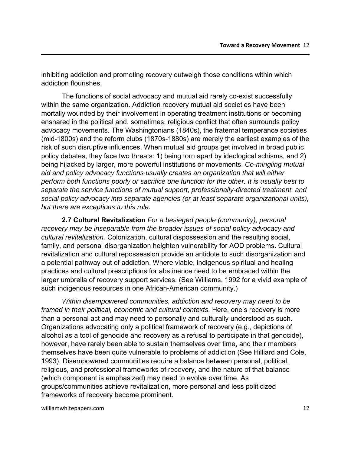inhibiting addiction and promoting recovery outweigh those conditions within which addiction flourishes.

The functions of social advocacy and mutual aid rarely co-exist successfully within the same organization. Addiction recovery mutual aid societies have been mortally wounded by their involvement in operating treatment institutions or becoming ensnared in the political and, sometimes, religious conflict that often surrounds policy advocacy movements. The Washingtonians (1840s), the fraternal temperance societies (mid-1800s) and the reform clubs (1870s-1880s) are merely the earliest examples of the risk of such disruptive influences. When mutual aid groups get involved in broad public policy debates, they face two threats: 1) being torn apart by ideological schisms, and 2) being hijacked by larger, more powerful institutions or movements. *Co-mingling mutual aid and policy advocacy functions usually creates an organization that will either perform both functions poorly or sacrifice one function for the other. It is usually best to separate the service functions of mutual support, professionally-directed treatment, and social policy advocacy into separate agencies (or at least separate organizational units), but there are exceptions to this rule.*

**2.7 Cultural Revitalization** *For a besieged people (community), personal recovery may be inseparable from the broader issues of social policy advocacy and cultural revitalization.* Colonization, cultural dispossession and the resulting social, family, and personal disorganization heighten vulnerability for AOD problems. Cultural revitalization and cultural repossession provide an antidote to such disorganization and a potential pathway out of addiction. Where viable, indigenous spiritual and healing practices and cultural prescriptions for abstinence need to be embraced within the larger umbrella of recovery support services. (See Williams, 1992 for a vivid example of such indigenous resources in one African-American community.)

*Within disempowered communities, addiction and recovery may need to be framed in their political, economic and cultural contexts.* Here, one's recovery is more than a personal act and may need to personally and culturally understood as such. Organizations advocating only a political framework of recovery (e.g., depictions of alcohol as a tool of genocide and recovery as a refusal to participate in that genocide), however, have rarely been able to sustain themselves over time, and their members themselves have been quite vulnerable to problems of addiction (See Hilliard and Cole, 1993). Disempowered communities require a balance between personal, political, religious, and professional frameworks of recovery, and the nature of that balance (which component is emphasized) may need to evolve over time. As groups/communities achieve revitalization, more personal and less politicized frameworks of recovery become prominent.

williamwhitepapers.com 3.12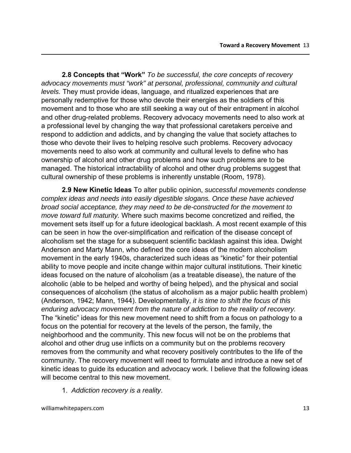**2.8 Concepts that "Work"** *To be successful, the core concepts of recovery advocacy movements must "work" at personal, professional, community and cultural levels.* They must provide ideas, language, and ritualized experiences that are personally redemptive for those who devote their energies as the soldiers of this movement and to those who are still seeking a way out of their entrapment in alcohol and other drug-related problems. Recovery advocacy movements need to also work at a professional level by changing the way that professional caretakers perceive and respond to addiction and addicts, and by changing the value that society attaches to those who devote their lives to helping resolve such problems. Recovery advocacy movements need to also work at community and cultural levels to define who has ownership of alcohol and other drug problems and how such problems are to be managed. The historical intractability of alcohol and other drug problems suggest that cultural ownership of these problems is inherently unstable (Room, 1978).

**2.9 New Kinetic Ideas** To alter public opinion, *successful movements condense complex ideas and needs into easily digestible slogans. Once these have achieved broad social acceptance, they may need to be de-constructed for the movement to move toward full maturity.* Where such maxims become concretized and reified, the movement sets itself up for a future ideological backlash. A most recent example of this can be seen in how the over-simplification and reification of the disease concept of alcoholism set the stage for a subsequent scientific backlash against this idea. Dwight Anderson and Marty Mann, who defined the core ideas of the modern alcoholism movement in the early 1940s, characterized such ideas as "kinetic" for their potential ability to move people and incite change within major cultural institutions. Their kinetic ideas focused on the nature of alcoholism (as a treatable disease), the nature of the alcoholic (able to be helped and worthy of being helped), and the physical and social consequences of alcoholism (the status of alcoholism as a major public health problem) (Anderson, 1942; Mann, 1944). Developmentally, *it is time to shift the focus of this enduring advocacy movement from the nature of addiction to the reality of recovery.*  The "kinetic" ideas for this new movement need to shift from a focus on pathology to a focus on the potential for recovery at the levels of the person, the family, the neighborhood and the community. This new focus will not be on the problems that alcohol and other drug use inflicts on a community but on the problems recovery removes from the community and what recovery positively contributes to the life of the community. The recovery movement will need to formulate and introduce a new set of kinetic ideas to guide its education and advocacy work. I believe that the following ideas will become central to this new movement.

1. *Addiction recovery is a reality*.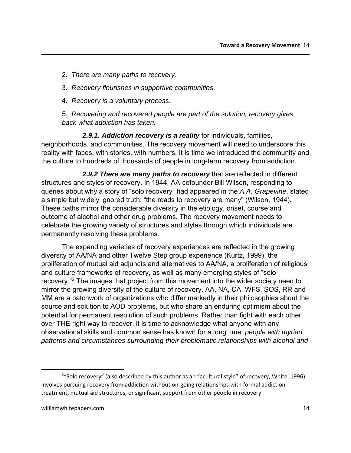- 2. *There are many paths to recovery.*
- 3. *Recovery flourishes in supportive communities*.
- 4. *Recovery is a voluntary process*.

5. *Recovering and recovered people are part of the solution; recovery gives back what addiction has taken.* 

*2.9.1. Addiction recovery is a reality* for individuals, families, neighborhoods, and communities. The recovery movement will need to underscore this reality with faces, with stories, with numbers. It is time we introduced the community and the culture to hundreds of thousands of people in long-term recovery from addiction.

*2.9.2 There are many paths to recovery* that are reflected in different structures and styles of recovery. In 1944, AA-cofounder Bill Wilson, responding to queries about why a story of "solo recovery" had appeared in the *A.A. Grapevine*, stated a simple but widely ignored truth: "the roads to recovery are many" (Wilson, 1944). These paths mirror the considerable diversity in the etiology, onset, course and outcome of alcohol and other drug problems. The recovery movement needs to celebrate the growing variety of structures and styles through which individuals are permanently resolving these problems.

The expanding varieties of recovery experiences are reflected in the growing diversity of AA/NA and other Twelve Step group experience (Kurtz, 1999), the proliferation of mutual aid adjuncts and alternatives to AA/NA, a proliferation of religious and culture frameworks of recovery, as well as many emerging styles of "solo recovery."2 The images that project from this movement into the wider society need to mirror the growing diversity of the culture of recovery. AA, NA, CA, WFS, SOS, RR and MM are a patchwork of organizations who differ markedly in their philosophies about the source and solution to AOD problems, but who share an enduring optimism about the potential for permanent resolution of such problems. Rather than fight with each other over THE right way to recover, it is time to acknowledge what anyone with any observational skills and common sense has known for a long time: *people with myriad patterns and circumstances surrounding their problematic relationships with alcohol and* 

<sup>&</sup>lt;sup>2</sup>"Solo recovery" (also described by this author as an "acultural style" of recovery, White, 1996) involves pursuing recovery from addiction without on‐going relationships with formal addiction treatment, mutual aid structures, or significant support from other people in recovery.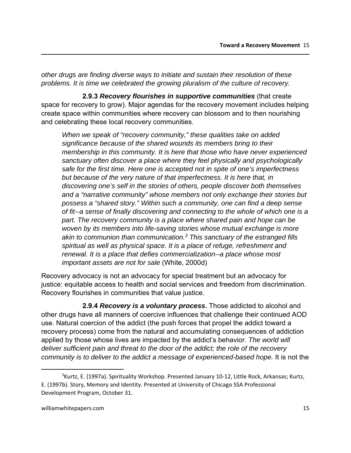*other drugs are finding diverse ways to initiate and sustain their resolution of these problems. It is time we celebrated the growing pluralism of the culture of recovery.*

**2.9.3** *Recovery flourishes in supportive communities* (that create space for recovery to grow). Major agendas for the recovery movement includes helping create space within communities where recovery can blossom and to then nourishing and celebrating these local recovery communities.

*When we speak of "recovery community," these qualities take on added significance because of the shared wounds its members bring to their membership in this community. It is here that those who have never experienced sanctuary often discover a place where they feel physically and psychologically safe for the first time. Here one is accepted not in spite of one's imperfectness but because of the very nature of that imperfectness. It is here that, in discovering one's self in the stories of others, people discover both themselves and a "narrative community" whose members not only exchange their stories but possess a "shared story." Within such a community, one can find a deep sense of fit--a sense of finally discovering and connecting to the whole of which one is a*  part. The recovery community is a place where shared pain and hope can be *woven by its members into life-saving stories whose mutual exchange is more akin to communion than communication.3 This sanctuary of the estranged fills spiritual as well as physical space. It is a place of refuge, refreshment and renewal. It is a place that defies commercialization--a place whose most important assets are not for sale* (White, 2000d)

Recovery advocacy is not an advocacy for special treatment but an advocacy for justice: equitable access to health and social services and freedom from discrimination. Recovery flourishes in communities that value justice.

**2.9.4** *Recovery is a voluntary process***.** Those addicted to alcohol and other drugs have all manners of coercive influences that challenge their continued AOD use. Natural coercion of the addict (the push forces that propel the addict toward a recovery process) come from the natural and accumulating consequences of addiction applied by those whose lives are impacted by the addict's behavior. *The world will deliver sufficient pain and threat to the door of the addict; the role of the recovery community is to deliver to the addict a message of experienced-based hope.* It is not the

<sup>3</sup> Kurtz, E. (1997a). Spirituality Workshop. Presented January 10‐12, Little Rock, Arkansas; Kurtz, E. (1997b). Story, Memory and Identity. Presented at University of Chicago SSA Professional Development Program, October 31.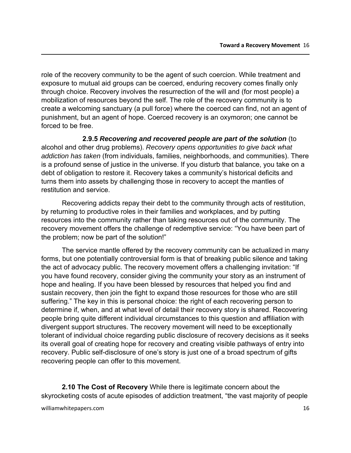role of the recovery community to be the agent of such coercion. While treatment and exposure to mutual aid groups can be coerced, enduring recovery comes finally only through choice. Recovery involves the resurrection of the will and (for most people) a mobilization of resources beyond the self. The role of the recovery community is to create a welcoming sanctuary (a pull force) where the coerced can find, not an agent of punishment, but an agent of hope. Coerced recovery is an oxymoron; one cannot be forced to be free.

**2.9.5** *Recovering and recovered people are part of the solution* (to alcohol and other drug problems). *Recovery opens opportunities to give back what addiction has taken* (from individuals, families, neighborhoods, and communities). There is a profound sense of justice in the universe. If you disturb that balance, you take on a debt of obligation to restore it. Recovery takes a community's historical deficits and turns them into assets by challenging those in recovery to accept the mantles of restitution and service.

Recovering addicts repay their debt to the community through acts of restitution, by returning to productive roles in their families and workplaces, and by putting resources into the community rather than taking resources out of the community. The recovery movement offers the challenge of redemptive service: "You have been part of the problem; now be part of the solution!"

The service mantle offered by the recovery community can be actualized in many forms, but one potentially controversial form is that of breaking public silence and taking the act of advocacy public. The recovery movement offers a challenging invitation: "If you have found recovery, consider giving the community your story as an instrument of hope and healing. If you have been blessed by resources that helped you find and sustain recovery, then join the fight to expand those resources for those who are still suffering." The key in this is personal choice: the right of each recovering person to determine if, when, and at what level of detail their recovery story is shared. Recovering people bring quite different individual circumstances to this question and affiliation with divergent support structures. The recovery movement will need to be exceptionally tolerant of individual choice regarding public disclosure of recovery decisions as it seeks its overall goal of creating hope for recovery and creating visible pathways of entry into recovery. Public self-disclosure of one's story is just one of a broad spectrum of gifts recovering people can offer to this movement.

**2.10 The Cost of Recovery** While there is legitimate concern about the skyrocketing costs of acute episodes of addiction treatment, "the vast majority of people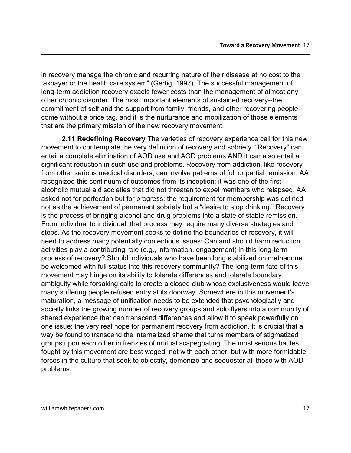in recovery manage the chronic and recurring nature of their disease at no cost to the taxpayer or the health care system" (Gertig, 1997). The successful management of long-term addiction recovery exacts fewer costs than the management of almost any other chronic disorder. The most important elements of sustained recovery--the commitment of self and the support from family, friends, and other recovering people- come without a price tag, and it is the nurturance and mobilization of those elements that are the primary mission of the new recovery movement.

**2.11 Redefining Recovery** The varieties of recovery experience call for this new movement to contemplate the very definition of recovery and sobriety. "Recovery" can entail a complete elimination of AOD use and AOD problems AND it can also entail a significant reduction in such use and problems. Recovery from addiction, like recovery from other serious medical disorders, can involve patterns of full or partial remission. AA recognized this continuum of outcomes from its inception; it was one of the first alcoholic mutual aid societies that did not threaten to expel members who relapsed. AA asked not for perfection but for progress; the requirement for membership was defined not as the achievement of permanent sobriety but a "desire to stop drinking." Recovery is the process of bringing alcohol and drug problems into a state of stable remission. From individual to individual, that process may require many diverse strategies and steps. As the recovery movement seeks to define the boundaries of recovery, it will need to address many potentially contentious issues: Can and should harm reduction activities play a contributing role (e.g., information. engagement) in this long-term process of recovery? Should individuals who have been long stabilized on methadone be welcomed with full status into this recovery community? The long-term fate of this movement may hinge on its ability to tolerate differences and tolerate boundary ambiguity while forsaking calls to create a closed club whose exclusiveness would leave many suffering people refused entry at its doorway. Somewhere in this movement's maturation, a message of unification needs to be extended that psychologically and socially links the growing number of recovery groups and solo flyers into a community of shared experience that can transcend differences and allow it to speak powerfully on one issue: the very real hope for permanent recovery from addiction. It is crucial that a way be found to transcend the internalized shame that turns members of stigmatized groups upon each other in frenzies of mutual scapegoating. The most serious battles fought by this movement are best waged, not with each other, but with more formidable forces in the culture that seek to objectify, demonize and sequester all those with AOD problems.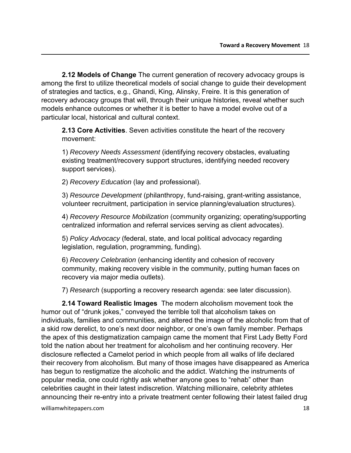**2.12 Models of Change** The current generation of recovery advocacy groups is among the first to utilize theoretical models of social change to guide their development of strategies and tactics, e.g., Ghandi, King, Alinsky, Freire. It is this generation of recovery advocacy groups that will, through their unique histories, reveal whether such models enhance outcomes or whether it is better to have a model evolve out of a particular local, historical and cultural context.

**2.13 Core Activities**. Seven activities constitute the heart of the recovery movement:

1) *Recovery Needs Assessment* (identifying recovery obstacles, evaluating existing treatment/recovery support structures, identifying needed recovery support services).

2) *Recovery Education* (lay and professional).

3) *Resource Development* (philanthropy, fund-raising, grant-writing assistance, volunteer recruitment, participation in service planning/evaluation structures).

4) *Recovery Resource Mobilization* (community organizing; operating/supporting centralized information and referral services serving as client advocates).

5) *Policy Advocacy* (federal, state, and local political advocacy regarding legislation, regulation, programming, funding).

6) *Recovery Celebration* (enhancing identity and cohesion of recovery community, making recovery visible in the community, putting human faces on recovery via major media outlets).

7) *Research* (supporting a recovery research agenda: see later discussion).

**2.14 Toward Realistic Images** The modern alcoholism movement took the humor out of "drunk jokes," conveyed the terrible toll that alcoholism takes on individuals, families and communities, and altered the image of the alcoholic from that of a skid row derelict, to one's next door neighbor, or one's own family member. Perhaps the apex of this destigmatization campaign came the moment that First Lady Betty Ford told the nation about her treatment for alcoholism and her continuing recovery. Her disclosure reflected a Camelot period in which people from all walks of life declared their recovery from alcoholism. But many of those images have disappeared as America has begun to restigmatize the alcoholic and the addict. Watching the instruments of popular media, one could rightly ask whether anyone goes to "rehab" other than celebrities caught in their latest indiscretion. Watching millionaire, celebrity athletes announcing their re-entry into a private treatment center following their latest failed drug

williamwhitepapers.com 38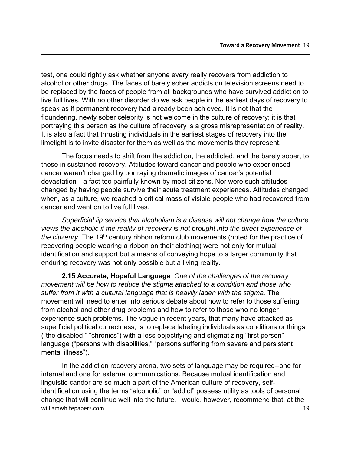test, one could rightly ask whether anyone every really recovers from addiction to alcohol or other drugs. The faces of barely sober addicts on television screens need to be replaced by the faces of people from all backgrounds who have survived addiction to live full lives. With no other disorder do we ask people in the earliest days of recovery to speak as if permanent recovery had already been achieved. It is not that the floundering, newly sober celebrity is not welcome in the culture of recovery; it is that portraying this person as the culture of recovery is a gross misrepresentation of reality. It is also a fact that thrusting individuals in the earliest stages of recovery into the limelight is to invite disaster for them as well as the movements they represent.

The focus needs to shift from the addiction, the addicted, and the barely sober, to those in sustained recovery. Attitudes toward cancer and people who experienced cancer weren't changed by portraying dramatic images of cancer's potential devastation—a fact too painfully known by most citizens. Nor were such attitudes changed by having people survive their acute treatment experiences. Attitudes changed when, as a culture, we reached a critical mass of visible people who had recovered from cancer and went on to live full lives.

*Superficial lip service that alcoholism is a disease will not change how the culture views the alcoholic if the reality of recovery is not brought into the direct experience of the citizenry.* The 19<sup>th</sup> century ribbon reform club movements (noted for the practice of recovering people wearing a ribbon on their clothing) were not only for mutual identification and support but a means of conveying hope to a larger community that enduring recovery was not only possible but a living reality.

**2.15 Accurate, Hopeful Language** *One of the challenges of the recovery movement will be how to reduce the stigma attached to a condition and those who suffer from it with a cultural language that is heavily laden with the stigma.* The movement will need to enter into serious debate about how to refer to those suffering from alcohol and other drug problems and how to refer to those who no longer experience such problems. The vogue in recent years, that many have attacked as superficial political correctness, is to replace labeling individuals as conditions or things ("the disabled," "chronics") with a less objectifying and stigmatizing "first person" language ("persons with disabilities," "persons suffering from severe and persistent mental illness").

williamwhitepapers.com 3.19 In the addiction recovery arena, two sets of language may be required--one for internal and one for external communications. Because mutual identification and linguistic candor are so much a part of the American culture of recovery, selfidentification using the terms "alcoholic" or "addict" possess utility as tools of personal change that will continue well into the future. I would, however, recommend that, at the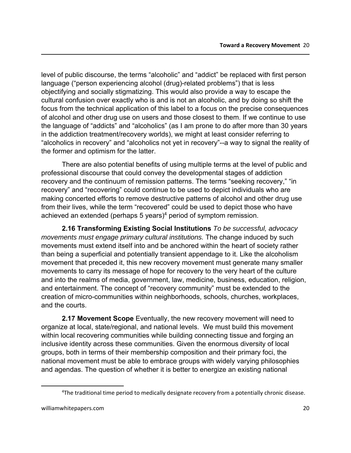level of public discourse, the terms "alcoholic" and "addict" be replaced with first person language ("person experiencing alcohol (drug)-related problems") that is less objectifying and socially stigmatizing. This would also provide a way to escape the cultural confusion over exactly who is and is not an alcoholic, and by doing so shift the focus from the technical application of this label to a focus on the precise consequences of alcohol and other drug use on users and those closest to them. If we continue to use the language of "addicts" and "alcoholics" (as I am prone to do after more than 30 years in the addiction treatment/recovery worlds), we might at least consider referring to "alcoholics in recovery" and "alcoholics not yet in recovery"--a way to signal the reality of the former and optimism for the latter.

There are also potential benefits of using multiple terms at the level of public and professional discourse that could convey the developmental stages of addiction recovery and the continuum of remission patterns. The terms "seeking recovery," "in recovery" and "recovering" could continue to be used to depict individuals who are making concerted efforts to remove destructive patterns of alcohol and other drug use from their lives, while the term "recovered" could be used to depict those who have achieved an extended (perhaps 5 years)<sup>4</sup> period of symptom remission.

**2.16 Transforming Existing Social Institutions** *To be successful, advocacy movements must engage primary cultural institutions.* The change induced by such movements must extend itself into and be anchored within the heart of society rather than being a superficial and potentially transient appendage to it. Like the alcoholism movement that preceded it, this new recovery movement must generate many smaller movements to carry its message of hope for recovery to the very heart of the culture and into the realms of media, government, law, medicine, business, education, religion, and entertainment. The concept of "recovery community" must be extended to the creation of micro-communities within neighborhoods, schools, churches, workplaces, and the courts.

**2.17 Movement Scope** Eventually, the new recovery movement will need to organize at local, state/regional, and national levels. We must build this movement within local recovering communities while building connecting tissue and forging an inclusive identity across these communities. Given the enormous diversity of local groups, both in terms of their membership composition and their primary foci, the national movement must be able to embrace groups with widely varying philosophies and agendas. The question of whether it is better to energize an existing national

<sup>&</sup>lt;sup>4</sup>The traditional time period to medically designate recovery from a potentially chronic disease.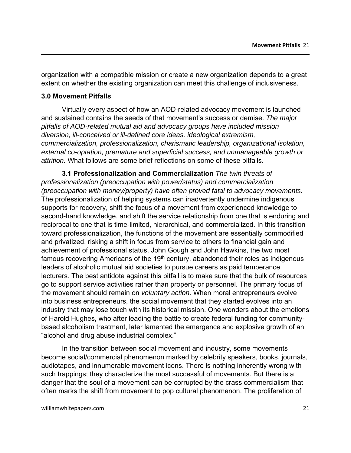organization with a compatible mission or create a new organization depends to a great extent on whether the existing organization can meet this challenge of inclusiveness.

#### **3.0 Movement Pitfalls**

Virtually every aspect of how an AOD-related advocacy movement is launched and sustained contains the seeds of that movement's success or demise. *The major pitfalls of AOD-related mutual aid and advocacy groups have included mission diversion, ill-conceived or ill-defined core ideas, ideological extremism, commercialization, professionalization, charismatic leadership, organizational isolation, external co-optation, premature and superficial success, and unmanageable growth or attrition.* What follows are some brief reflections on some of these pitfalls.

**3.1 Professionalization and Commercialization** *The twin threats of professionalization (preoccupation with power/status) and commercialization (preoccupation with money/property) have often proved fatal to advocacy movements.*  The professionalization of helping systems can inadvertently undermine indigenous supports for recovery, shift the focus of a movement from experienced knowledge to second-hand knowledge, and shift the service relationship from one that is enduring and reciprocal to one that is time-limited, hierarchical, and commercialized. In this transition toward professionalization, the functions of the movement are essentially commodified and privatized, risking a shift in focus from service to others to financial gain and achievement of professional status. John Gough and John Hawkins, the two most famous recovering Americans of the 19<sup>th</sup> century, abandoned their roles as indigenous leaders of alcoholic mutual aid societies to pursue careers as paid temperance lecturers. The best antidote against this pitfall is to make sure that the bulk of resources go to support service activities rather than property or personnel. The primary focus of the movement should remain on *voluntary action*. When moral entrepreneurs evolve into business entrepreneurs, the social movement that they started evolves into an industry that may lose touch with its historical mission. One wonders about the emotions of Harold Hughes, who after leading the battle to create federal funding for communitybased alcoholism treatment, later lamented the emergence and explosive growth of an "alcohol and drug abuse industrial complex."

In the transition between social movement and industry, some movements become social/commercial phenomenon marked by celebrity speakers, books, journals, audiotapes, and innumerable movement icons. There is nothing inherently wrong with such trappings; they characterize the most successful of movements. But there is a danger that the soul of a movement can be corrupted by the crass commercialism that often marks the shift from movement to pop cultural phenomenon. The proliferation of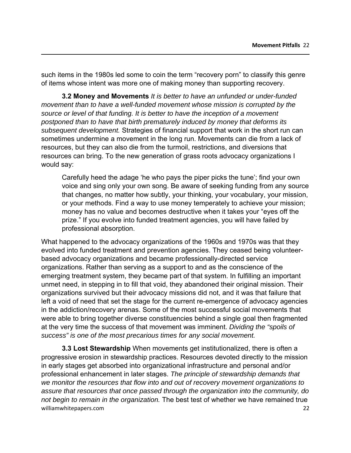such items in the 1980s led some to coin the term "recovery porn" to classify this genre of items whose intent was more one of making money than supporting recovery.

**3.2 Money and Movements** *It is better to have an unfunded or under-funded movement than to have a well-funded movement whose mission is corrupted by the source or level of that funding. It is better to have the inception of a movement postponed than to have that birth prematurely induced by money that deforms its subsequent development.* Strategies of financial support that work in the short run can sometimes undermine a movement in the long run. Movements can die from a lack of resources, but they can also die from the turmoil, restrictions, and diversions that resources can bring. To the new generation of grass roots advocacy organizations I would say:

Carefully heed the adage 'he who pays the piper picks the tune'; find your own voice and sing only your own song. Be aware of seeking funding from any source that changes, no matter how subtly, your thinking, your vocabulary, your mission, or your methods. Find a way to use money temperately to achieve your mission; money has no value and becomes destructive when it takes your "eyes off the prize." If you evolve into funded treatment agencies, you will have failed by professional absorption.

What happened to the advocacy organizations of the 1960s and 1970s was that they evolved into funded treatment and prevention agencies. They ceased being volunteerbased advocacy organizations and became professionally-directed service organizations. Rather than serving as a support to and as the conscience of the emerging treatment system, they became part of that system. In fulfilling an important unmet need, in stepping in to fill that void, they abandoned their original mission. Their organizations survived but their advocacy missions did not, and it was that failure that left a void of need that set the stage for the current re-emergence of advocacy agencies in the addiction/recovery arenas. Some of the most successful social movements that were able to bring together diverse constituencies behind a single goal then fragmented at the very time the success of that movement was imminent. *Dividing the "spoils of success" is one of the most precarious times for any social movement.* 

williamwhitepapers.com 22 **3.3 Lost Stewardship** When movements get institutionalized, there is often a progressive erosion in stewardship practices. Resources devoted directly to the mission in early stages get absorbed into organizational infrastructure and personal and/or professional enhancement in later stages. *The principle of stewardship demands that we monitor the resources that flow into and out of recovery movement organizations to assure that resources that once passed through the organization into the community, do not begin to remain in the organization.* The best test of whether we have remained true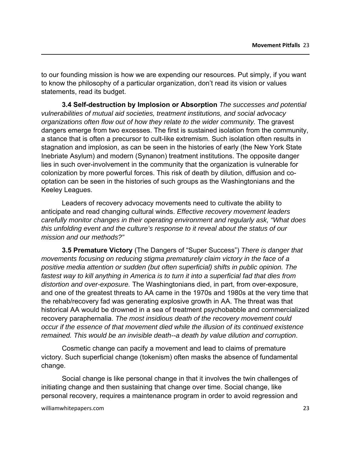to our founding mission is how we are expending our resources. Put simply, if you want to know the philosophy of a particular organization, don't read its vision or values statements, read its budget.

**3.4 Self-destruction by Implosion or Absorption** *The successes and potential vulnerabilities of mutual aid societies, treatment institutions, and social advocacy organizations often flow out of how they relate to the wider community.* The gravest dangers emerge from two excesses. The first is sustained isolation from the community, a stance that is often a precursor to cult-like extremism. Such isolation often results in stagnation and implosion, as can be seen in the histories of early (the New York State Inebriate Asylum) and modern (Synanon) treatment institutions. The opposite danger lies in such over-involvement in the community that the organization is vulnerable for colonization by more powerful forces. This risk of death by dilution, diffusion and cooptation can be seen in the histories of such groups as the Washingtonians and the Keeley Leagues.

Leaders of recovery advocacy movements need to cultivate the ability to anticipate and read changing cultural winds. *Effective recovery movement leaders carefully monitor changes in their operating environment and regularly ask, "What does this unfolding event and the culture's response to it reveal about the status of our mission and our methods?"*

**3.5 Premature Victory** (The Dangers of "Super Success") *There is danger that movements focusing on reducing stigma prematurely claim victory in the face of a positive media attention or sudden (but often superficial) shifts in public opinion. The fastest way to kill anything in America is to turn it into a superficial fad that dies from distortion and over-exposure.* The Washingtonians died, in part, from over-exposure, and one of the greatest threats to AA came in the 1970s and 1980s at the very time that the rehab/recovery fad was generating explosive growth in AA. The threat was that historical AA would be drowned in a sea of treatment psychobabble and commercialized recovery paraphernalia. *The most insidious death of the recovery movement could occur if the essence of that movement died while the illusion of its continued existence remained. This would be an invisible death--a death by value dilution and corruption*.

Cosmetic change can pacify a movement and lead to claims of premature victory. Such superficial change (tokenism) often masks the absence of fundamental change.

Social change is like personal change in that it involves the twin challenges of initiating change and then sustaining that change over time. Social change, like personal recovery, requires a maintenance program in order to avoid regression and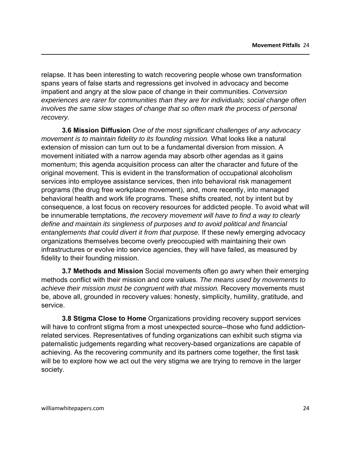relapse. It has been interesting to watch recovering people whose own transformation spans years of false starts and regressions get involved in advocacy and become impatient and angry at the slow pace of change in their communities. *Conversion experiences are rarer for communities than they are for individuals; social change often involves the same slow stages of change that so often mark the process of personal recovery.* 

**3.6 Mission Diffusion** *One of the most significant challenges of any advocacy movement is to maintain fidelity to its founding mission.* What looks like a natural extension of mission can turn out to be a fundamental diversion from mission. A movement initiated with a narrow agenda may absorb other agendas as it gains momentum; this agenda acquisition process can alter the character and future of the original movement. This is evident in the transformation of occupational alcoholism services into employee assistance services, then into behavioral risk management programs (the drug free workplace movement), and, more recently, into managed behavioral health and work life programs. These shifts created, not by intent but by consequence, a lost focus on recovery resources for addicted people. To avoid what will be innumerable temptations, *the recovery movement will have to find a way to clearly define and maintain its singleness of purposes and to avoid political and financial entanglements that could divert it from that purpose.* If these newly emerging advocacy organizations themselves become overly preoccupied with maintaining their own infrastructures or evolve into service agencies, they will have failed, as measured by fidelity to their founding mission.

**3.7 Methods and Mission** Social movements often go awry when their emerging methods conflict with their mission and core values. *The means used by movements to achieve their mission must be congruent with that mission.* Recovery movements must be, above all, grounded in recovery values: honesty, simplicity, humility, gratitude, and service.

**3.8 Stigma Close to Home** Organizations providing recovery support services will have to confront stigma from a most unexpected source--those who fund addictionrelated services. Representatives of funding organizations can exhibit such stigma via paternalistic judgements regarding what recovery-based organizations are capable of achieving. As the recovering community and its partners come together, the first task will be to explore how we act out the very stigma we are trying to remove in the larger society.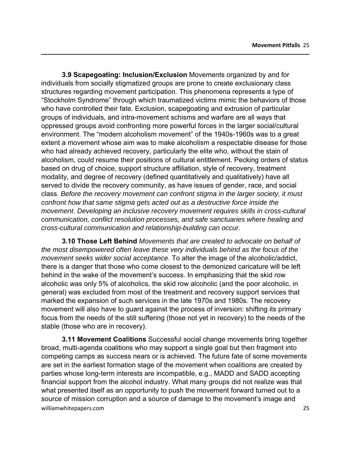**3.9 Scapegoating: Inclusion/Exclusion** Movements organized by and for individuals from socially stigmatized groups are prone to create exclusionary class structures regarding movement participation. This phenomena represents a type of "Stockholm Syndrome" through which traumatized victims mimic the behaviors of those who have controlled their fate. Exclusion, scapegoating and extrusion of particular groups of individuals, and intra-movement schisms and warfare are all ways that oppressed groups avoid confronting more powerful forces in the larger social/cultural environment. The "modern alcoholism movement" of the 1940s-1960s was to a great extent a movement whose aim was to make alcoholism a respectable disease for those who had already achieved recovery, particularly the elite who, without the stain of alcoholism, could resume their positions of cultural entitlement. Pecking orders of status based on drug of choice, support structure affiliation, style of recovery, treatment modality, and degree of recovery (defined quantitatively and qualitatively) have all served to divide the recovery community, as have issues of gender, race, and social class. *Before the recovery movement can confront stigma in the larger society, it must confront how that same stigma gets acted out as a destructive force inside the movement*. *Developing an inclusive recovery movement requires skills in cross-cultural communication, conflict resolution processes, and safe sanctuaries where healing and cross-cultural communication and relationship-building can occur*.

**3.10 Those Left Behind** *Movements that are created to advocate on behalf of the most disempowered often leave these very individuals behind as the focus of the movement seeks wider social acceptance*. To alter the image of the alcoholic/addict, there is a danger that those who come closest to the demonized caricature will be left behind in the wake of the movement's success. In emphasizing that the skid row alcoholic was only 5% of alcoholics, the skid row alcoholic (and the poor alcoholic, in general) was excluded from most of the treatment and recovery support services that marked the expansion of such services in the late 1970s and 1980s. The recovery movement will also have to guard against the process of inversion: shifting its primary focus from the needs of the still suffering (those not yet in recovery) to the needs of the stable (those who are in recovery).

williamwhitepapers.com 25 **3.11 Movement Coalitions** Successful social change movements bring together broad, multi-agenda coalitions who may support a single goal but then fragment into competing camps as success nears or is achieved. The future fate of some movements are set in the earliest formation stage of the movement when coalitions are created by parties whose long-term interests are incompatible, e.g., MADD and SADD accepting financial support from the alcohol industry. What many groups did not realize was that what presented itself as an opportunity to push the movement forward turned out to a source of mission corruption and a source of damage to the movement's image and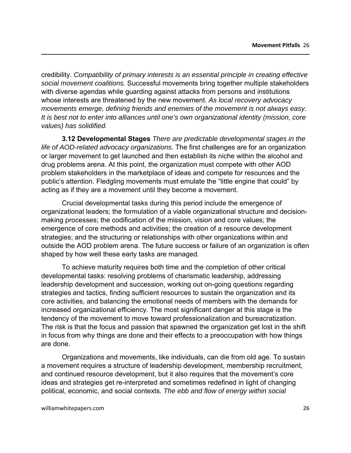credibility. *Compatibility of primary interests is an essential principle in creating effective social movement coalitions.* Successful movements bring together multiple stakeholders with diverse agendas while guarding against attacks from persons and institutions whose interests are threatened by the new movement. *As local recovery advocacy movements emerge, defining friends and enemies of the movement is not always easy. It is best not to enter into alliances until one's own organizational identity (mission, core values) has solidified.* 

**3.12 Developmental Stages** *There are predictable developmental stages in the life of AOD-related advocacy organizations.* The first challenges are for an organization or larger movement to get launched and then establish its niche within the alcohol and drug problems arena. At this point, the organization must compete with other AOD problem stakeholders in the marketplace of ideas and compete for resources and the public's attention. Fledgling movements must emulate the "little engine that could" by acting as if they are a movement until they become a movement.

Crucial developmental tasks during this period include the emergence of organizational leaders; the formulation of a viable organizational structure and decisionmaking processes; the codification of the mission, vision and core values; the emergence of core methods and activities; the creation of a resource development strategies; and the structuring or relationships with other organizations within and outside the AOD problem arena. The future success or failure of an organization is often shaped by how well these early tasks are managed.

To achieve maturity requires both time and the completion of other critical developmental tasks: resolving problems of charismatic leadership, addressing leadership development and succession, working out on-going questions regarding strategies and tactics, finding sufficient resources to sustain the organization and its core activities, and balancing the emotional needs of members with the demands for increased organizational efficiency. The most significant danger at this stage is the tendency of the movement to move toward professionalization and bureacratization. The risk is that the focus and passion that spawned the organization get lost in the shift in focus from why things are done and their effects to a preoccupation with how things are done.

Organizations and movements, like individuals, can die from old age. To sustain a movement requires a structure of leadership development, membership recruitment, and continued resource development, but it also requires that the movement's core ideas and strategies get re-interpreted and sometimes redefined in light of changing political, economic, and social contexts. *The ebb and flow of energy within social*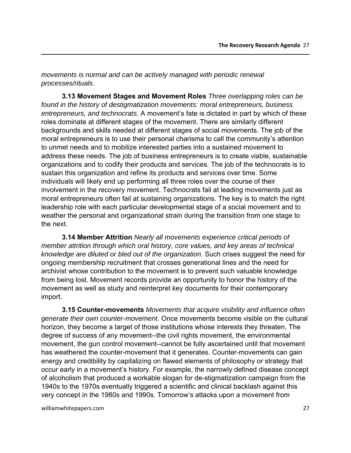*movements is normal and can be actively managed with periodic renewal processes/rituals.* 

**3.13 Movement Stages and Movement Roles** *Three overlapping roles can be found in the history of destigmatization movements: moral entrepreneurs, business entrepreneurs, and technocrats.* A movement's fate is dictated in part by which of these roles dominate at different stages of the movement. There are similarly different backgrounds and skills needed at different stages of social movements. The job of the moral entrepreneurs is to use their personal charisma to call the community's attention to unmet needs and to mobilize interested parties into a sustained movement to address these needs. The job of business entrepreneurs is to create viable, sustainable organizations and to codify their products and services. The job of the technocrats is to sustain this organization and refine its products and services over time. Some individuals will likely end up performing all three roles over the course of their involvement in the recovery movement. Technocrats fail at leading movements just as moral entrepreneurs often fail at sustaining organizations. The key is to match the right leadership role with each particular developmental stage of a social movement and to weather the personal and organizational strain during the transition from one stage to the next.

**3.14 Member Attrition** *Nearly all movements experience critical periods of member attrition through which oral history, core values, and key areas of technical knowledge are diluted or bled out of the organization.* Such crises suggest the need for ongoing membership recruitment that crosses generational lines and the need for archivist whose contribution to the movement is to prevent such valuable knowledge from being lost. Movement records provide an opportunity to honor the history of the movement as well as study and reinterpret key documents for their contemporary import.

**3.15 Counter-movements** *Movements that acquire visibility and influence often generate their own counter-movement*. Once movements become visible on the cultural horizon, they become a target of those institutions whose interests they threaten. The degree of success of any movement--the civil rights movement, the environmental movement, the gun control movement--cannot be fully ascertained until that movement has weathered the counter-movement that it generates. Counter-movements can gain energy and credibility by capitalizing on flawed elements of philosophy or strategy that occur early in a movement's history. For example, the narrowly defined disease concept of alcoholism that produced a workable slogan for de-stigmatization campaign from the 1940s to the 1970s eventually triggered a scientific and clinical backlash against this very concept in the 1980s and 1990s. Tomorrow's attacks upon a movement from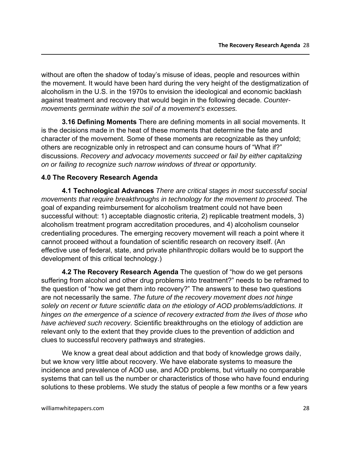without are often the shadow of today's misuse of ideas, people and resources within the movement. It would have been hard during the very height of the destigmatization of alcoholism in the U.S. in the 1970s to envision the ideological and economic backlash against treatment and recovery that would begin in the following decade. *Countermovements germinate within the soil of a movement's excesses.*

**3.16 Defining Moments** There are defining moments in all social movements. It is the decisions made in the heat of these moments that determine the fate and character of the movement. Some of these moments are recognizable as they unfold; others are recognizable only in retrospect and can consume hours of "What if?" discussions. *Recovery and advocacy movements succeed or fail by either capitalizing on or failing to recognize such narrow windows of threat or opportunity.*

### **4.0 The Recovery Research Agenda**

**4.1 Technological Advances** *There are critical stages in most successful social movements that require breakthroughs in technology for the movement to proceed.* The goal of expanding reimbursement for alcoholism treatment could not have been successful without: 1) acceptable diagnostic criteria, 2) replicable treatment models, 3) alcoholism treatment program accreditation procedures, and 4) alcoholism counselor credentialing procedures. The emerging recovery movement will reach a point where it cannot proceed without a foundation of scientific research on recovery itself. (An effective use of federal, state, and private philanthropic dollars would be to support the development of this critical technology.)

**4.2 The Recovery Research Agenda** The question of "how do we get persons suffering from alcohol and other drug problems into treatment?" needs to be reframed to the question of "how we get them into recovery?" The answers to these two questions are not necessarily the same. *The future of the recovery movement does not hinge solely on recent or future scientific data on the etiology of AOD problems/addictions. It hinges on the emergence of a science of recovery extracted from the lives of those who have achieved such recovery*. Scientific breakthroughs on the etiology of addiction are relevant only to the extent that they provide clues to the prevention of addiction and clues to successful recovery pathways and strategies.

We know a great deal about addiction and that body of knowledge grows daily, but we know very little about recovery. We have elaborate systems to measure the incidence and prevalence of AOD use, and AOD problems, but virtually no comparable systems that can tell us the number or characteristics of those who have found enduring solutions to these problems. We study the status of people a few months or a few years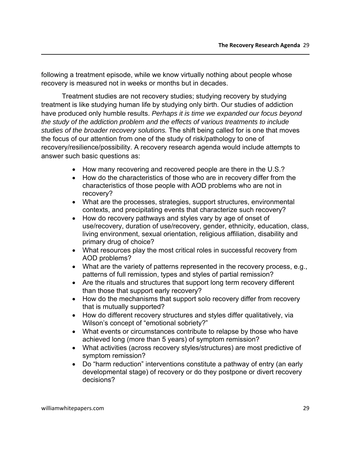following a treatment episode, while we know virtually nothing about people whose recovery is measured not in weeks or months but in decades.

Treatment studies are not recovery studies; studying recovery by studying treatment is like studying human life by studying only birth. Our studies of addiction have produced only humble results. *Perhaps it is time we expanded our focus beyond the study of the addiction problem and the effects of various treatments to include studies of the broader recovery solutions.* The shift being called for is one that moves the focus of our attention from one of the study of risk/pathology to one of recovery/resilience/possibility. A recovery research agenda would include attempts to answer such basic questions as:

- How many recovering and recovered people are there in the U.S.?
- How do the characteristics of those who are in recovery differ from the characteristics of those people with AOD problems who are not in recovery?
- What are the processes, strategies, support structures, environmental contexts, and precipitating events that characterize such recovery?
- How do recovery pathways and styles vary by age of onset of use/recovery, duration of use/recovery, gender, ethnicity, education, class, living environment, sexual orientation, religious affiliation, disability and primary drug of choice?
- What resources play the most critical roles in successful recovery from AOD problems?
- What are the variety of patterns represented in the recovery process, e.g., patterns of full remission, types and styles of partial remission?
- Are the rituals and structures that support long term recovery different than those that support early recovery?
- How do the mechanisms that support solo recovery differ from recovery that is mutually supported?
- How do different recovery structures and styles differ qualitatively, via Wilson's concept of "emotional sobriety?"
- What events or circumstances contribute to relapse by those who have achieved long (more than 5 years) of symptom remission?
- What activities (across recovery styles/structures) are most predictive of symptom remission?
- Do "harm reduction" interventions constitute a pathway of entry (an early developmental stage) of recovery or do they postpone or divert recovery decisions?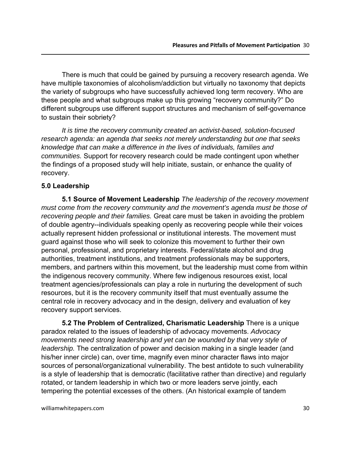There is much that could be gained by pursuing a recovery research agenda. We have multiple taxonomies of alcoholism/addiction but virtually no taxonomy that depicts the variety of subgroups who have successfully achieved long term recovery. Who are these people and what subgroups make up this growing "recovery community?" Do different subgroups use different support structures and mechanism of self-governance to sustain their sobriety?

*It is time the recovery community created an activist-based, solution-focused research agenda: an agenda that seeks not merely understanding but one that seeks knowledge that can make a difference in the lives of individuals, families and communities.* Support for recovery research could be made contingent upon whether the findings of a proposed study will help initiate, sustain, or enhance the quality of recovery.

#### **5.0 Leadership**

**5.1 Source of Movement Leadership** *The leadership of the recovery movement must come from the recovery community and the movement's agenda must be those of recovering people and their families.* Great care must be taken in avoiding the problem of double agentry--individuals speaking openly as recovering people while their voices actually represent hidden professional or institutional interests. The movement must guard against those who will seek to colonize this movement to further their own personal, professional, and proprietary interests. Federal/state alcohol and drug authorities, treatment institutions, and treatment professionals may be supporters, members, and partners within this movement, but the leadership must come from within the indigenous recovery community. Where few indigenous resources exist, local treatment agencies/professionals can play a role in nurturing the development of such resources, but it is the recovery community itself that must eventually assume the central role in recovery advocacy and in the design, delivery and evaluation of key recovery support services.

**5.2 The Problem of Centralized, Charismatic Leadership** There is a unique paradox related to the issues of leadership of advocacy movements. *Advocacy movements need strong leadership and yet can be wounded by that very style of leadership.* The centralization of power and decision making in a single leader (and his/her inner circle) can, over time, magnify even minor character flaws into major sources of personal/organizational vulnerability. The best antidote to such vulnerability is a style of leadership that is democratic (facilitative rather than directive) and regularly rotated, or tandem leadership in which two or more leaders serve jointly, each tempering the potential excesses of the others. (An historical example of tandem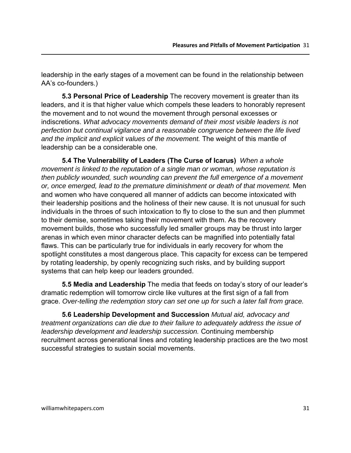leadership in the early stages of a movement can be found in the relationship between AA's co-founders.)

**5.3 Personal Price of Leadership** The recovery movement is greater than its leaders, and it is that higher value which compels these leaders to honorably represent the movement and to not wound the movement through personal excesses or indiscretions. *What advocacy movements demand of their most visible leaders is not perfection but continual vigilance and a reasonable congruence between the life lived and the implicit and explicit values of the movement.* The weight of this mantle of leadership can be a considerable one.

**5.4 The Vulnerability of Leaders (The Curse of Icarus)** *When a whole movement is linked to the reputation of a single man or woman, whose reputation is then publicly wounded, such wounding can prevent the full emergence of a movement or, once emerged, lead to the premature diminishment or death of that movement.* Men and women who have conquered all manner of addicts can become intoxicated with their leadership positions and the holiness of their new cause. It is not unusual for such individuals in the throes of such intoxication to fly to close to the sun and then plummet to their demise, sometimes taking their movement with them. As the recovery movement builds, those who successfully led smaller groups may be thrust into larger arenas in which even minor character defects can be magnified into potentially fatal flaws. This can be particularly true for individuals in early recovery for whom the spotlight constitutes a most dangerous place. This capacity for excess can be tempered by rotating leadership, by openly recognizing such risks, and by building support systems that can help keep our leaders grounded.

**5.5 Media and Leadership** The media that feeds on today's story of our leader's dramatic redemption will tomorrow circle like vultures at the first sign of a fall from grace. *Over-telling the redemption story can set one up for such a later fall from grace.* 

**5.6 Leadership Development and Succession** *Mutual aid, advocacy and treatment organizations can die due to their failure to adequately address the issue of leadership development and leadership succession.* Continuing membership recruitment across generational lines and rotating leadership practices are the two most successful strategies to sustain social movements.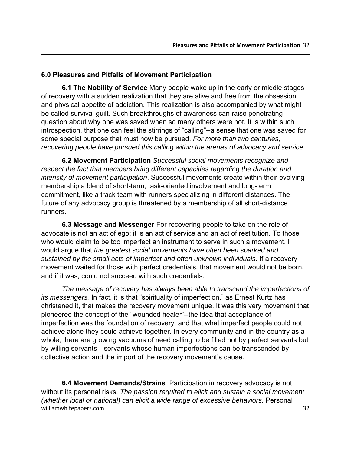#### **6.0 Pleasures and Pitfalls of Movement Participation**

**6.1 The Nobility of Service** Many people wake up in the early or middle stages of recovery with a sudden realization that they are alive and free from the obsession and physical appetite of addiction. This realization is also accompanied by what might be called survival guilt. Such breakthroughs of awareness can raise penetrating question about why one was saved when so many others were not. It is within such introspection, that one can feel the stirrings of "calling"--a sense that one was saved for some special purpose that must now be pursued. *For more than two centuries, recovering people have pursued this calling within the arenas of advocacy and service.* 

**6.2 Movement Participation** *Successful social movements recognize and respect the fact that members bring different capacities regarding the duration and intensity of movement participation*. Successful movements create within their evolving membership a blend of short-term, task-oriented involvement and long-term commitment, like a track team with runners specializing in different distances. The future of any advocacy group is threatened by a membership of all short-distance runners.

**6.3 Message and Messenger** For recovering people to take on the role of advocate is not an act of ego; it is an act of service and an act of restitution. To those who would claim to be too imperfect an instrument to serve in such a movement, I would argue that *the greatest social movements have often been sparked and sustained by the small acts of imperfect and often unknown individuals.* If a recovery movement waited for those with perfect credentials, that movement would not be born, and if it was, could not succeed with such credentials.

*The message of recovery has always been able to transcend the imperfections of its messengers.* In fact, it is that "spirituality of imperfection," as Ernest Kurtz has christened it, that makes the recovery movement unique. It was this very movement that pioneered the concept of the "wounded healer"--the idea that acceptance of imperfection was the foundation of recovery, and that what imperfect people could not achieve alone they could achieve together. In every community and in the country as a whole, there are growing vacuums of need calling to be filled not by perfect servants but by willing servants---servants whose human imperfections can be transcended by collective action and the import of the recovery movement's cause.

williamwhitepapers.com 32 **6.4 Movement Demands/Strains** Participation in recovery advocacy is not without its personal risks. *The passion required to elicit and sustain a social movement (whether local or national) can elicit a wide range of excessive behaviors.* Personal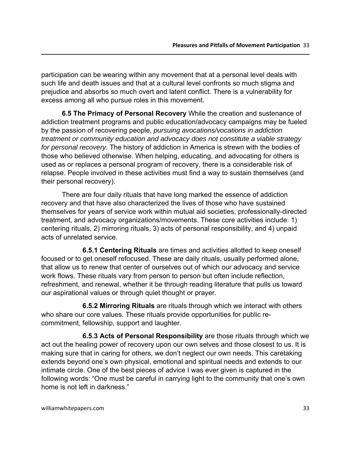participation can be wearing within any movement that at a personal level deals with such life and death issues and that at a cultural level confronts so much stigma and prejudice and absorbs so much overt and latent conflict. There is a vulnerability for excess among all who pursue roles in this movement.

**6.5 The Primacy of Personal Recovery** While the creation and sustenance of addiction treatment programs and public education/advocacy campaigns may be fueled by the passion of recovering people, *pursuing avocations/vocations in addiction treatment or community education and advocacy does not constitute a viable strategy for personal recovery*. The history of addiction in America is strewn with the bodies of those who believed otherwise. When helping, educating, and advocating for others is used as or replaces a personal program of recovery, there is a considerable risk of relapse. People involved in these activities must find a way to sustain themselves (and their personal recovery).

There are four daily rituals that have long marked the essence of addiction recovery and that have also characterized the lives of those who have sustained themselves for years of service work within mutual aid societies, professionally-directed treatment, and advocacy organizations/movements. These core activities include: 1) centering rituals, 2) mirroring rituals, 3) acts of personal responsibility, and 4) unpaid acts of unrelated service.

**6.5.1 Centering Rituals** are times and activities allotted to keep oneself focused or to get oneself refocused. These are daily rituals, usually performed alone, that allow us to renew that center of ourselves out of which our advocacy and service work flows. These rituals vary from person to person but often include reflection, refreshment, and renewal, whether it be through reading literature that pulls us toward our aspirational values or through quiet thought or prayer.

**6.5.2 Mirroring Rituals** are rituals through which we interact with others who share our core values. These rituals provide opportunities for public recommitment, fellowship, support and laughter.

**6.5.3 Acts of Personal Responsibility** are those rituals through which we act out the healing power of recovery upon our own selves and those closest to us. It is making sure that in caring for others, we don't neglect our own needs. This caretaking extends beyond one's own physical, emotional and spiritual needs and extends to our intimate circle. One of the best pieces of advice I was ever given is captured in the following words: "One must be careful in carrying light to the community that one's own home is not left in darkness."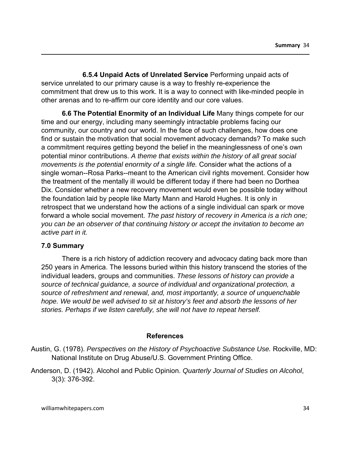**6.5.4 Unpaid Acts of Unrelated Service** Performing unpaid acts of service unrelated to our primary cause is a way to freshly re-experience the commitment that drew us to this work. It is a way to connect with like-minded people in other arenas and to re-affirm our core identity and our core values.

**6.6 The Potential Enormity of an Individual Life** Many things compete for our time and our energy, including many seemingly intractable problems facing our community, our country and our world. In the face of such challenges, how does one find or sustain the motivation that social movement advocacy demands? To make such a commitment requires getting beyond the belief in the meaninglessness of one's own potential minor contributions. *A theme that exists within the history of all great social movements is the potential enormity of a single life.* Consider what the actions of a single woman--Rosa Parks--meant to the American civil rights movement. Consider how the treatment of the mentally ill would be different today if there had been no Dorthea Dix. Consider whether a new recovery movement would even be possible today without the foundation laid by people like Marty Mann and Harold Hughes. It is only in retrospect that we understand how the actions of a single individual can spark or move forward a whole social movement. *The past history of recovery in America is a rich one; you can be an observer of that continuing history or accept the invitation to become an active part in it.* 

#### **7.0 Summary**

There is a rich history of addiction recovery and advocacy dating back more than 250 years in America. The lessons buried within this history transcend the stories of the individual leaders, groups and communities. *These lessons of history can provide a source of technical guidance, a source of individual and organizational protection, a source of refreshment and renewal, and, most importantly, a source of unquenchable hope. We would be well advised to sit at history's feet and absorb the lessons of her stories. Perhaps if we listen carefully, she will not have to repeat herself.*

#### **References**

- Austin, G. (1978). *Perspectives on the History of Psychoactive Substance Use.* Rockville, MD: National Institute on Drug Abuse/U.S. Government Printing Office.
- Anderson, D. (1942). Alcohol and Public Opinion. *Quarterly Journal of Studies on Alcohol*, 3(3): 376-392.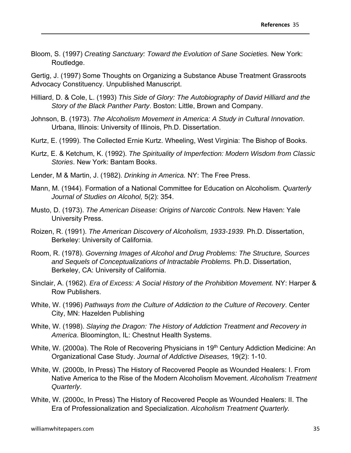Bloom, S. (1997) *Creating Sanctuary: Toward the Evolution of Sane Societies.* New York: Routledge.

Gertig, J. (1997) Some Thoughts on Organizing a Substance Abuse Treatment Grassroots Advocacy Constituency. Unpublished Manuscript.

- Hilliard, D. & Cole, L. (1993) *This Side of Glory: The Autobiography of David Hilliard and the Story of the Black Panther Party*. Boston: Little, Brown and Company.
- Johnson, B. (1973). *The Alcoholism Movement in America: A Study in Cultural Innovation*. Urbana, Illinois: University of Illinois, Ph.D. Dissertation.
- Kurtz, E. (1999). The Collected Ernie Kurtz. Wheeling, West Virginia: The Bishop of Books.
- Kurtz, E. & Ketchum, K. (1992). *The Spirituality of Imperfection: Modern Wisdom from Classic Stories*. New York: Bantam Books.
- Lender, M & Martin, J. (1982). *Drinking in America.* NY: The Free Press.
- Mann, M. (1944). Formation of a National Committee for Education on Alcoholism. *Quarterly Journal of Studies on Alcohol,* 5(2): 354.
- Musto, D. (1973). *The American Disease: Origins of Narcotic Controls.* New Haven: Yale University Press.
- Roizen, R. (1991). *The American Discovery of Alcoholism, 1933-1939.* Ph.D. Dissertation, Berkeley: University of California.
- Room, R. (1978). *Governing Images of Alcohol and Drug Problems: The Structure, Sources and Sequels of Conceptualizations of Intractable Problems.* Ph.D. Dissertation, Berkeley, CA: University of California.
- Sinclair, A. (1962). *Era of Excess: A Social History of the Prohibition Movement.* NY: Harper & Row Publishers.
- White, W. (1996) *Pathways from the Culture of Addiction to the Culture of Recovery*. Center City, MN: Hazelden Publishing
- White, W. (1998). *Slaying the Dragon: The History of Addiction Treatment and Recovery in America*. Bloomington, IL: Chestnut Health Systems.
- White, W. (2000a). The Role of Recovering Physicians in 19<sup>th</sup> Century Addiction Medicine: An Organizational Case Study. *Journal of Addictive Diseases,* 19(2): 1-10.
- White, W. (2000b, In Press) The History of Recovered People as Wounded Healers: I. From Native America to the Rise of the Modern Alcoholism Movement. *Alcoholism Treatment Quarterly*.
- White, W. (2000c, In Press) The History of Recovered People as Wounded Healers: II. The Era of Professionalization and Specialization. *Alcoholism Treatment Quarterly.*